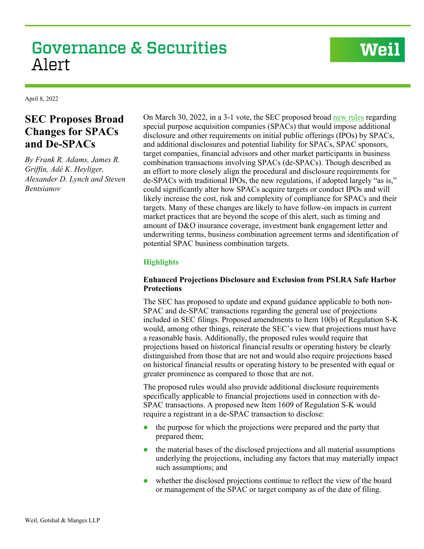# **Governance & Securities** Alert

# **Weil**

April 8, 2022

# **SEC Proposes Broad Changes for SPACs and De-SPACs**

*By Frank R. Adams, James R. Griffin, Adé K. Heyliger, Alexander D. Lynch and Steven Bentsianov*

On March 30, 2022, in a 3-1 vote, the SEC proposed broad [new rules](https://www.sec.gov/rules/proposed/2022/33-11048.pdf) regarding special purpose acquisition companies (SPACs) that would impose additional disclosure and other requirements on initial public offerings (IPOs) by SPACs, and additional disclosures and potential liability for SPACs, SPAC sponsors, target companies, financial advisors and other market participants in business combination transactions involving SPACs (de-SPACs). Though described as an effort to more closely align the procedural and disclosure requirements for de-SPACs with traditional IPOs, the new regulations, if adopted largely "as is," could significantly alter how SPACs acquire targets or conduct IPOs and will likely increase the cost, risk and complexity of compliance for SPACs and their targets. Many of these changes are likely to have follow-on impacts in current market practices that are beyond the scope of this alert, such as timing and amount of D&O insurance coverage, investment bank engagement letter and underwriting terms, business combination agreement terms and identification of potential SPAC business combination targets.

# **Highlights**

# **Enhanced Projections Disclosure and Exclusion from PSLRA Safe Harbor Protections**

The SEC has proposed to update and expand guidance applicable to both non-SPAC and de-SPAC transactions regarding the general use of projections included in SEC filings. Proposed amendments to Item 10(b) of Regulation S-K would, among other things, reiterate the SEC's view that projections must have a reasonable basis. Additionally, the proposed rules would require that projections based on historical financial results or operating history be clearly distinguished from those that are not and would also require projections based on historical financial results or operating history to be presented with equal or greater prominence as compared to those that are not.

The proposed rules would also provide additional disclosure requirements specifically applicable to financial projections used in connection with de-SPAC transactions. A proposed new Item 1609 of Regulation S-K would require a registrant in a de-SPAC transaction to disclose:

- $\bullet$  the purpose for which the projections were prepared and the party that prepared them;
- the material bases of the disclosed projections and all material assumptions underlying the projections, including any factors that may materially impact such assumptions; and
- whether the disclosed projections continue to reflect the view of the board or management of the SPAC or target company as of the date of filing.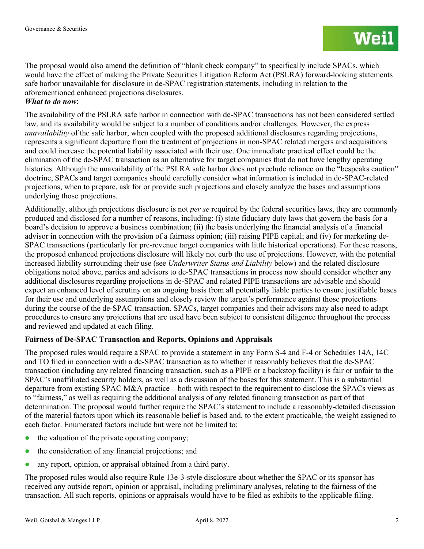The proposal would also amend the definition of "blank check company" to specifically include SPACs, which would have the effect of making the Private Securities Litigation Reform Act (PSLRA) forward-looking statements safe harbor unavailable for disclosure in de-SPAC registration statements, including in relation to the aforementioned enhanced projections disclosures.

## *What to do now*:

The availability of the PSLRA safe harbor in connection with de-SPAC transactions has not been considered settled law, and its availability would be subject to a number of conditions and/or challenges. However, the express *unavailability* of the safe harbor, when coupled with the proposed additional disclosures regarding projections, represents a significant departure from the treatment of projections in non-SPAC related mergers and acquisitions and could increase the potential liability associated with their use. One immediate practical effect could be the elimination of the de-SPAC transaction as an alternative for target companies that do not have lengthy operating histories. Although the unavailability of the PSLRA safe harbor does not preclude reliance on the "bespeaks caution" doctrine, SPACs and target companies should carefully consider what information is included in de-SPAC-related projections, when to prepare, ask for or provide such projections and closely analyze the bases and assumptions underlying those projections.

Additionally, although projections disclosure is not *per se* required by the federal securities laws, they are commonly produced and disclosed for a number of reasons, including: (i) state fiduciary duty laws that govern the basis for a board's decision to approve a business combination; (ii) the basis underlying the financial analysis of a financial advisor in connection with the provision of a fairness opinion; (iii) raising PIPE capital; and (iv) for marketing de-SPAC transactions (particularly for pre-revenue target companies with little historical operations). For these reasons, the proposed enhanced projections disclosure will likely not curb the use of projections. However, with the potential increased liability surrounding their use (see *Underwriter Status and Liability* below) and the related disclosure obligations noted above, parties and advisors to de-SPAC transactions in process now should consider whether any additional disclosures regarding projections in de-SPAC and related PIPE transactions are advisable and should expect an enhanced level of scrutiny on an ongoing basis from all potentially liable parties to ensure justifiable bases for their use and underlying assumptions and closely review the target's performance against those projections during the course of the de-SPAC transaction. SPACs, target companies and their advisors may also need to adapt procedures to ensure any projections that are used have been subject to consistent diligence throughout the process and reviewed and updated at each filing.

# **Fairness of De-SPAC Transaction and Reports, Opinions and Appraisals**

The proposed rules would require a SPAC to provide a statement in any Form S-4 and F-4 or Schedules 14A, 14C and TO filed in connection with a de-SPAC transaction as to whether it reasonably believes that the de-SPAC transaction (including any related financing transaction, such as a PIPE or a backstop facility) is fair or unfair to the SPAC's unaffiliated security holders, as well as a discussion of the bases for this statement. This is a substantial departure from existing SPAC M&A practice—both with respect to the requirement to disclose the SPACs views as to "fairness," as well as requiring the additional analysis of any related financing transaction as part of that determination. The proposal would further require the SPAC's statement to include a reasonably-detailed discussion of the material factors upon which its reasonable belief is based and, to the extent practicable, the weight assigned to each factor. Enumerated factors include but were not be limited to:

- the valuation of the private operating company;
- the consideration of any financial projections; and
- any report, opinion, or appraisal obtained from a third party.

The proposed rules would also require Rule 13e-3-style disclosure about whether the SPAC or its sponsor has received any outside report, opinion or appraisal, including preliminary analyses, relating to the fairness of the transaction. All such reports, opinions or appraisals would have to be filed as exhibits to the applicable filing.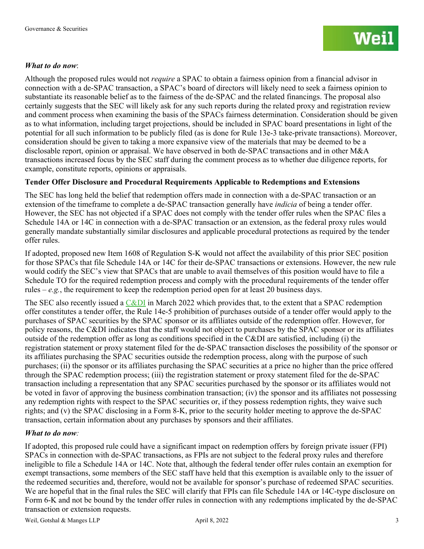## *What to do now*:

Although the proposed rules would not *require* a SPAC to obtain a fairness opinion from a financial advisor in connection with a de-SPAC transaction, a SPAC's board of directors will likely need to seek a fairness opinion to substantiate its reasonable belief as to the fairness of the de-SPAC and the related financings. The proposal also certainly suggests that the SEC will likely ask for any such reports during the related proxy and registration review and comment process when examining the basis of the SPACs fairness determination. Consideration should be given as to what information, including target projections, should be included in SPAC board presentations in light of the potential for all such information to be publicly filed (as is done for Rule 13e-3 take-private transactions). Moreover, consideration should be given to taking a more expansive view of the materials that may be deemed to be a disclosable report, opinion or appraisal. We have observed in both de-SPAC transactions and in other M&A transactions increased focus by the SEC staff during the comment process as to whether due diligence reports, for example, constitute reports, opinions or appraisals.

# **Tender Offer Disclosure and Procedural Requirements Applicable to Redemptions and Extensions**

The SEC has long held the belief that redemption offers made in connection with a de-SPAC transaction or an extension of the timeframe to complete a de-SPAC transaction generally have *indicia* of being a tender offer. However, the SEC has not objected if a SPAC does not comply with the tender offer rules when the SPAC files a Schedule 14A or 14C in connection with a de-SPAC transaction or an extension, as the federal proxy rules would generally mandate substantially similar disclosures and applicable procedural protections as required by the tender offer rules.

If adopted, proposed new Item 1608 of Regulation S-K would not affect the availability of this prior SEC position for those SPACs that file Schedule 14A or 14C for their de-SPAC transactions or extensions. However, the new rule would codify the SEC's view that SPACs that are unable to avail themselves of this position would have to file a Schedule TO for the required redemption process and comply with the procedural requirements of the tender offer rules –  $e.g.,$  the requirement to keep the redemption period open for at least 20 business days.

The SEC also recently issued a [C&DI](https://www.sec.gov/divisions/corpfin/guidance/cdi-tender-offers-and-schedules.htm) in March 2022 which provides that, to the extent that a SPAC redemption offer constitutes a tender offer, the Rule 14e-5 prohibition of purchases outside of a tender offer would apply to the purchases of SPAC securities by the SPAC sponsor or its affiliates outside of the redemption offer. However, for policy reasons, the C&DI indicates that the staff would not object to purchases by the SPAC sponsor or its affiliates outside of the redemption offer as long as conditions specified in the C&DI are satisfied, including (i) the registration statement or proxy statement filed for the de-SPAC transaction discloses the possibility of the sponsor or its affiliates purchasing the SPAC securities outside the redemption process, along with the purpose of such purchases; (ii) the sponsor or its affiliates purchasing the SPAC securities at a price no higher than the price offered through the SPAC redemption process; (iii) the registration statement or proxy statement filed for the de-SPAC transaction including a representation that any SPAC securities purchased by the sponsor or its affiliates would not be voted in favor of approving the business combination transaction; (iv) the sponsor and its affiliates not possessing any redemption rights with respect to the SPAC securities or, if they possess redemption rights, they waive such rights; and (v) the SPAC disclosing in a Form 8-K, prior to the security holder meeting to approve the de-SPAC transaction, certain information about any purchases by sponsors and their affiliates.

#### *What to do now:*

If adopted, this proposed rule could have a significant impact on redemption offers by foreign private issuer (FPI) SPACs in connection with de-SPAC transactions, as FPIs are not subject to the federal proxy rules and therefore ineligible to file a Schedule 14A or 14C. Note that, although the federal tender offer rules contain an exemption for exempt transactions, some members of the SEC staff have held that this exemption is available only to the issuer of the redeemed securities and, therefore, would not be available for sponsor's purchase of redeemed SPAC securities. We are hopeful that in the final rules the SEC will clarify that FPIs can file Schedule 14A or 14C-type disclosure on Form 6-K and not be bound by the tender offer rules in connection with any redemptions implicated by the de-SPAC transaction or extension requests.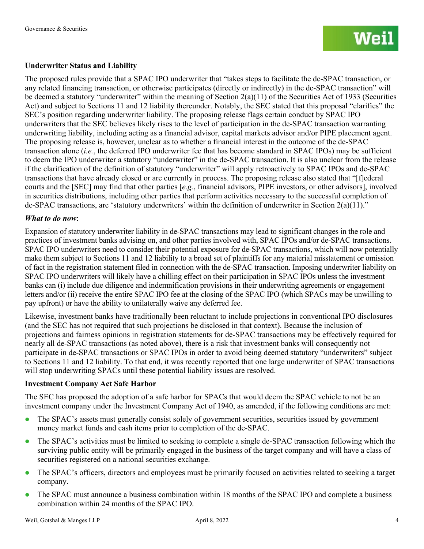## **Underwriter Status and Liability**

The proposed rules provide that a SPAC IPO underwriter that "takes steps to facilitate the de-SPAC transaction, or any related financing transaction, or otherwise participates (directly or indirectly) in the de-SPAC transaction" will be deemed a statutory "underwriter" within the meaning of Section  $2(a)(11)$  of the Securities Act of 1933 (Securities Act) and subject to Sections 11 and 12 liability thereunder. Notably, the SEC stated that this proposal "clarifies" the SEC's position regarding underwriter liability. The proposing release flags certain conduct by SPAC IPO underwriters that the SEC believes likely rises to the level of participation in the de-SPAC transaction warranting underwriting liability, including acting as a financial advisor, capital markets advisor and/or PIPE placement agent. The proposing release is, however, unclear as to whether a financial interest in the outcome of the de-SPAC transaction alone (*i.e.*, the deferred IPO underwriter fee that has become standard in SPAC IPOs) may be sufficient to deem the IPO underwriter a statutory "underwriter" in the de-SPAC transaction. It is also unclear from the release if the clarification of the definition of statutory "underwriter" will apply retroactively to SPAC IPOs and de-SPAC transactions that have already closed or are currently in process. The proposing release also stated that "[f]ederal courts and the [SEC] may find that other parties [*e.g.*, financial advisors, PIPE investors, or other advisors], involved in securities distributions, including other parties that perform activities necessary to the successful completion of de-SPAC transactions, are 'statutory underwriters' within the definition of underwriter in Section 2(a)(11)."

#### *What to do now*:

Expansion of statutory underwriter liability in de-SPAC transactions may lead to significant changes in the role and practices of investment banks advising on, and other parties involved with, SPAC IPOs and/or de-SPAC transactions. SPAC IPO underwriters need to consider their potential exposure for de-SPAC transactions, which will now potentially make them subject to Sections 11 and 12 liability to a broad set of plaintiffs for any material misstatement or omission of fact in the registration statement filed in connection with the de-SPAC transaction. Imposing underwriter liability on SPAC IPO underwriters will likely have a chilling effect on their participation in SPAC IPOs unless the investment banks can (i) include due diligence and indemnification provisions in their underwriting agreements or engagement letters and/or (ii) receive the entire SPAC IPO fee at the closing of the SPAC IPO (which SPACs may be unwilling to pay upfront) or have the ability to unilaterally waive any deferred fee.

Likewise, investment banks have traditionally been reluctant to include projections in conventional IPO disclosures (and the SEC has not required that such projections be disclosed in that context). Because the inclusion of projections and fairness opinions in registration statements for de-SPAC transactions may be effectively required for nearly all de-SPAC transactions (as noted above), there is a risk that investment banks will consequently not participate in de-SPAC transactions or SPAC IPOs in order to avoid being deemed statutory "underwriters" subject to Sections 11 and 12 liability. To that end, it was recently reported that one large underwriter of SPAC transactions will stop underwriting SPACs until these potential liability issues are resolved.

#### **Investment Company Act Safe Harbor**

The SEC has proposed the adoption of a safe harbor for SPACs that would deem the SPAC vehicle to not be an investment company under the Investment Company Act of 1940, as amended, if the following conditions are met:

- The SPAC's assets must generally consist solely of government securities, securities issued by government money market funds and cash items prior to completion of the de-SPAC.
- The SPAC's activities must be limited to seeking to complete a single de-SPAC transaction following which the surviving public entity will be primarily engaged in the business of the target company and will have a class of securities registered on a national securities exchange.
- The SPAC's officers, directors and employees must be primarily focused on activities related to seeking a target company.
- The SPAC must announce a business combination within 18 months of the SPAC IPO and complete a business combination within 24 months of the SPAC IPO.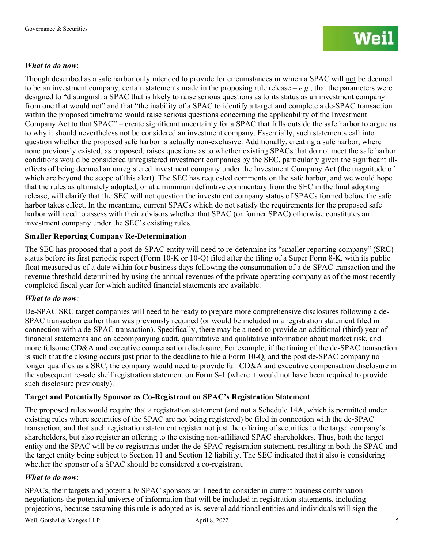#### *What to do now*:

Though described as a safe harbor only intended to provide for circumstances in which a SPAC will not be deemed to be an investment company, certain statements made in the proposing rule release – *e.g.*, that the parameters were designed to "distinguish a SPAC that is likely to raise serious questions as to its status as an investment company from one that would not" and that "the inability of a SPAC to identify a target and complete a de-SPAC transaction within the proposed timeframe would raise serious questions concerning the applicability of the Investment Company Act to that SPAC" – create significant uncertainty for a SPAC that falls outside the safe harbor to argue as to why it should nevertheless not be considered an investment company. Essentially, such statements call into question whether the proposed safe harbor is actually non-exclusive. Additionally, creating a safe harbor, where none previously existed, as proposed, raises questions as to whether existing SPACs that do not meet the safe harbor conditions would be considered unregistered investment companies by the SEC, particularly given the significant illeffects of being deemed an unregistered investment company under the Investment Company Act (the magnitude of which are beyond the scope of this alert). The SEC has requested comments on the safe harbor, and we would hope that the rules as ultimately adopted, or at a minimum definitive commentary from the SEC in the final adopting release, will clarify that the SEC will not question the investment company status of SPACs formed before the safe harbor takes effect. In the meantime, current SPACs which do not satisfy the requirements for the proposed safe harbor will need to assess with their advisors whether that SPAC (or former SPAC) otherwise constitutes an investment company under the SEC's existing rules.

#### **Smaller Reporting Company Re-Determination**

The SEC has proposed that a post de-SPAC entity will need to re-determine its "smaller reporting company" (SRC) status before its first periodic report (Form 10-K or 10-Q) filed after the filing of a Super Form 8-K, with its public float measured as of a date within four business days following the consummation of a de-SPAC transaction and the revenue threshold determined by using the annual revenues of the private operating company as of the most recently completed fiscal year for which audited financial statements are available.

#### *What to do now:*

De-SPAC SRC target companies will need to be ready to prepare more comprehensive disclosures following a de-SPAC transaction earlier than was previously required (or would be included in a registration statement filed in connection with a de-SPAC transaction). Specifically, there may be a need to provide an additional (third) year of financial statements and an accompanying audit, quantitative and qualitative information about market risk, and more fulsome CD&A and executive compensation disclosure. For example, if the timing of the de-SPAC transaction is such that the closing occurs just prior to the deadline to file a Form 10-Q, and the post de-SPAC company no longer qualifies as a SRC, the company would need to provide full CD&A and executive compensation disclosure in the subsequent re-sale shelf registration statement on Form S-1 (where it would not have been required to provide such disclosure previously).

# **Target and Potentially Sponsor as Co-Registrant on SPAC's Registration Statement**

The proposed rules would require that a registration statement (and not a Schedule 14A, which is permitted under existing rules where securities of the SPAC are not being registered) be filed in connection with the de-SPAC transaction, and that such registration statement register not just the offering of securities to the target company's shareholders, but also register an offering to the existing non-affiliated SPAC shareholders. Thus, both the target entity and the SPAC will be co-registrants under the de-SPAC registration statement, resulting in both the SPAC and the target entity being subject to Section 11 and Section 12 liability. The SEC indicated that it also is considering whether the sponsor of a SPAC should be considered a co-registrant.

#### *What to do now*:

SPACs, their targets and potentially SPAC sponsors will need to consider in current business combination negotiations the potential universe of information that will be included in registration statements, including projections, because assuming this rule is adopted as is, several additional entities and individuals will sign the